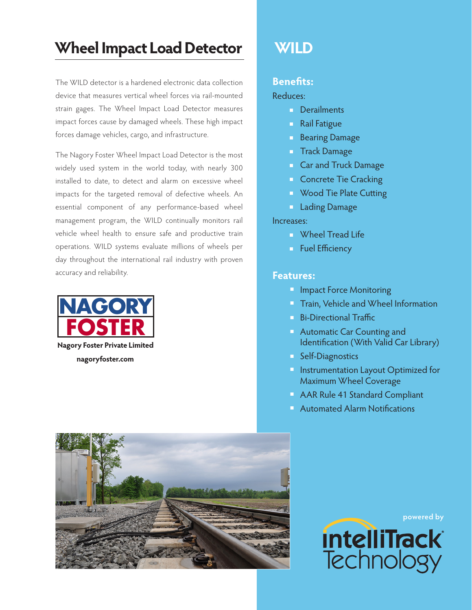# Wheel Impact Load Detector WILD

The WILD detector is a hardened electronic data collection device that measures vertical wheel forces via rail-mounted strain gages. The Wheel Impact Load Detector measures impact forces cause by damaged wheels. These high impact forces damage vehicles, cargo, and infrastructure.

The Nagory Foster Wheel Impact Load Detector is the most widely used system in the world today, with nearly 300 installed to date, to detect and alarm on excessive wheel impacts for the targeted removal of defective wheels. An essential component of any performance-based wheel management program, the WILD continually monitors rail vehicle wheel health to ensure safe and productive train operations. WILD systems evaluate millions of wheels per day throughout the international rail industry with proven accuracy and reliability.





### **Benefits:**

#### Reduces:

- **Derailments**
- **Rail Fatigue**
- Bearing Damage
- **Track Damage**
- **Car and Truck Damage**
- **Concrete Tie Cracking**
- **N** Wood Tie Plate Cutting
- **Lading Damage**

#### Increases:

- **N** Wheel Tread Life
- **Fuel Efficiency**

#### **Features:**

- **Impact Force Monitoring**
- **Train, Vehicle and Wheel Information**
- Bi-Directional Traffic
- **Automatic Car Counting and** Identification (With Valid Car Library)
- **Self-Diagnostics**
- **Instrumentation Layout Optimized for** Maximum Wheel Coverage
- **AAR Rule 41 Standard Compliant**
- **Automated Alarm Notifications**

**powered by intelliTrack Technology**